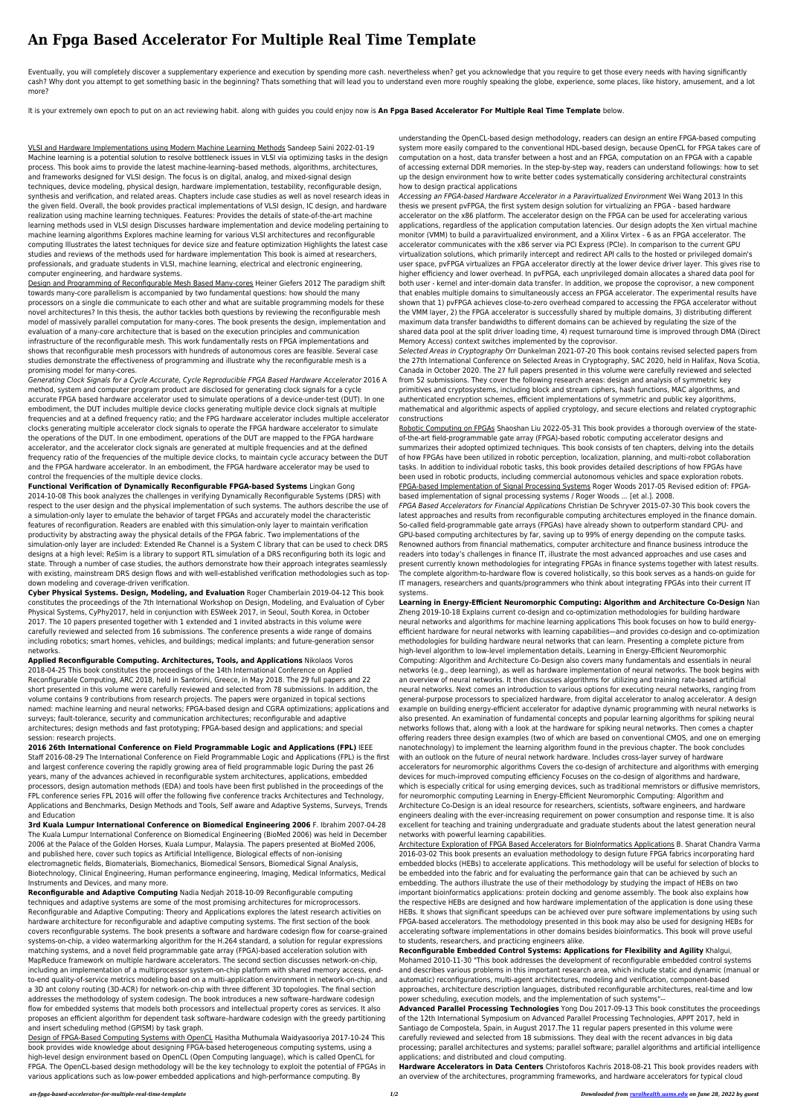## **An Fpga Based Accelerator For Multiple Real Time Template**

Eventually, you will completely discover a supplementary experience and execution by spending more cash. nevertheless when? get you acknowledge that you require to get those every needs with having significantly cash? Why dont you attempt to get something basic in the beginning? Thats something that will lead you to understand even more roughly speaking the globe, experience, some places, like history, amusement, and a lot more?

It is your extremely own epoch to put on an act reviewing habit. along with guides you could enjoy now is **An Fpga Based Accelerator For Multiple Real Time Template** below.

VLSI and Hardware Implementations using Modern Machine Learning Methods Sandeep Saini 2022-01-19 Machine learning is a potential solution to resolve bottleneck issues in VLSI via optimizing tasks in the design process. This book aims to provide the latest machine-learning–based methods, algorithms, architectures, and frameworks designed for VLSI design. The focus is on digital, analog, and mixed-signal design techniques, device modeling, physical design, hardware implementation, testability, reconfigurable design, synthesis and verification, and related areas. Chapters include case studies as well as novel research ideas in the given field. Overall, the book provides practical implementations of VLSI design, IC design, and hardware realization using machine learning techniques. Features: Provides the details of state-of-the-art machine learning methods used in VLSI design Discusses hardware implementation and device modeling pertaining to machine learning algorithms Explores machine learning for various VLSI architectures and reconfigurable computing Illustrates the latest techniques for device size and feature optimization Highlights the latest case studies and reviews of the methods used for hardware implementation This book is aimed at researchers, professionals, and graduate students in VLSI, machine learning, electrical and electronic engineering, computer engineering, and hardware systems.

Design and Programming of Reconfigurable Mesh Based Many-cores Heiner Giefers 2012 The paradigm shift towards many-core parallelism is accompanied by two fundamental questions: how should the many processors on a single die communicate to each other and what are suitable programming models for these novel architectures? In this thesis, the author tackles both questions by reviewing the reconfigurable mesh model of massively parallel computation for many-cores. The book presents the design, implementation and evaluation of a many-core architecture that is based on the execution principles and communication infrastructure of the reconfigurable mesh. This work fundamentally rests on FPGA implementations and shows that reconfigurable mesh processors with hundreds of autonomous cores are feasible. Several case studies demonstrate the effectiveness of programming and illustrate why the reconfigurable mesh is a promising model for many-cores.

Generating Clock Signals for a Cycle Accurate, Cycle Reproducible FPGA Based Hardware Accelerator 2016 A method, system and computer program product are disclosed for generating clock signals for a cycle accurate FPGA based hardware accelerator used to simulate operations of a device-under-test (DUT). In one embodiment, the DUT includes multiple device clocks generating multiple device clock signals at multiple frequencies and at a defined frequency ratio; and the FPG hardware accelerator includes multiple accelerator clocks generating multiple accelerator clock signals to operate the FPGA hardware accelerator to simulate the operations of the DUT. In one embodiment, operations of the DUT are mapped to the FPGA hardware accelerator, and the accelerator clock signals are generated at multiple frequencies and at the defined frequency ratio of the frequencies of the multiple device clocks, to maintain cycle accuracy between the DUT and the FPGA hardware accelerator. In an embodiment, the FPGA hardware accelerator may be used to control the frequencies of the multiple device clocks.

**Functional Verification of Dynamically Reconfigurable FPGA-based Systems** Lingkan Gong 2014-10-08 This book analyzes the challenges in verifying Dynamically Reconfigurable Systems (DRS) with respect to the user design and the physical implementation of such systems. The authors describe the use of a simulation-only layer to emulate the behavior of target FPGAs and accurately model the characteristic features of reconfiguration. Readers are enabled with this simulation-only layer to maintain verification productivity by abstracting away the physical details of the FPGA fabric. Two implementations of the simulation-only layer are included: Extended Re Channel is a System C library that can be used to check DRS designs at a high level; ReSim is a library to support RTL simulation of a DRS reconfiguring both its logic and state. Through a number of case studies, the authors demonstrate how their approach integrates seamlessly with existing, mainstream DRS design flows and with well-established verification methodologies such as topdown modeling and coverage-driven verification.

**Cyber Physical Systems. Design, Modeling, and Evaluation** Roger Chamberlain 2019-04-12 This book

constitutes the proceedings of the 7th International Workshop on Design, Modeling, and Evaluation of Cyber Physical Systems, CyPhy2017, held in conjunction with ESWeek 2017, in Seoul, South Korea, in October 2017. The 10 papers presented together with 1 extended and 1 invited abstracts in this volume were carefully reviewed and selected from 16 submissions. The conference presents a wide range of domains including robotics; smart homes, vehicles, and buildings; medical implants; and future-generation sensor networks.

**Applied Reconfigurable Computing. Architectures, Tools, and Applications** Nikolaos Voros 2018-04-25 This book constitutes the proceedings of the 14th International Conference on Applied Reconfigurable Computing, ARC 2018, held in Santorini, Greece, in May 2018. The 29 full papers and 22 short presented in this volume were carefully reviewed and selected from 78 submissions. In addition, the volume contains 9 contributions from research projects. The papers were organized in topical sections named: machine learning and neural networks; FPGA-based design and CGRA optimizations; applications and surveys; fault-tolerance, security and communication architectures; reconfigurable and adaptive architectures; design methods and fast prototyping; FPGA-based design and applications; and special session: research projects.

**2016 26th International Conference on Field Programmable Logic and Applications (FPL)** IEEE Staff 2016-08-29 The International Conference on Field Programmable Logic and Applications (FPL) is the first and largest conference covering the rapidly growing area of field programmable logic During the past 26 years, many of the advances achieved in reconfigurable system architectures, applications, embedded processors, design automation methods (EDA) and tools have been first published in the proceedings of the FPL conference series FPL 2016 will offer the following five conference tracks Architectures and Technology, Applications and Benchmarks, Design Methods and Tools, Self aware and Adaptive Systems, Surveys, Trends and Education

**3rd Kuala Lumpur International Conference on Biomedical Engineering 2006** F. Ibrahim 2007-04-28 The Kuala Lumpur International Conference on Biomedical Engineering (BioMed 2006) was held in December 2006 at the Palace of the Golden Horses, Kuala Lumpur, Malaysia. The papers presented at BioMed 2006, and published here, cover such topics as Artificial Intelligence, Biological effects of non-ionising electromagnetic fields, Biomaterials, Biomechanics, Biomedical Sensors, Biomedical Signal Analysis, Biotechnology, Clinical Engineering, Human performance engineering, Imaging, Medical Informatics, Medical Instruments and Devices, and many more.

**Reconfigurable and Adaptive Computing** Nadia Nedjah 2018-10-09 Reconfigurable computing techniques and adaptive systems are some of the most promising architectures for microprocessors. Reconfigurable and Adaptive Computing: Theory and Applications explores the latest research activities on hardware architecture for reconfigurable and adaptive computing systems. The first section of the book covers reconfigurable systems. The book presents a software and hardware codesign flow for coarse-grained systems-on-chip, a video watermarking algorithm for the H.264 standard, a solution for regular expressions matching systems, and a novel field programmable gate array (FPGA)-based acceleration solution with MapReduce framework on multiple hardware accelerators. The second section discusses network-on-chip, including an implementation of a multiprocessor system-on-chip platform with shared memory access, endto-end quality-of-service metrics modeling based on a multi-application environment in network-on-chip, and a 3D ant colony routing (3D-ACR) for network-on-chip with three different 3D topologies. The final section addresses the methodology of system codesign. The book introduces a new software–hardware codesign flow for embedded systems that models both processors and intellectual property cores as services. It also proposes an efficient algorithm for dependent task software–hardware codesign with the greedy partitioning and insert scheduling method (GPISM) by task graph.

Design of FPGA-Based Computing Systems with OpenCL Hasitha Muthumala Waidyasooriya 2017-10-24 This book provides wide knowledge about designing FPGA-based heterogeneous computing systems, using a high-level design environment based on OpenCL (Open Computing language), which is called OpenCL for FPGA. The OpenCL-based design methodology will be the key technology to exploit the potential of FPGAs in various applications such as low-power embedded applications and high-performance computing. By

understanding the OpenCL-based design methodology, readers can design an entire FPGA-based computing system more easily compared to the conventional HDL-based design, because OpenCL for FPGA takes care of computation on a host, data transfer between a host and an FPGA, computation on an FPGA with a capable of accessing external DDR memories. In the step-by-step way, readers can understand followings: how to set up the design environment how to write better codes systematically considering architectural constraints how to design practical applications

Accessing an FPGA-based Hardware Accelerator in a Paravirtualized Environment Wei Wang 2013 In this thesis we present pvFPGA, the first system design solution for virtualizing an FPGA - based hardware accelerator on the x86 platform. The accelerator design on the FPGA can be used for accelerating various applications, regardless of the application computation latencies. Our design adopts the Xen virtual machine monitor (VMM) to build a paravirtualized environment, and a Xilinx Virtex - 6 as an FPGA accelerator. The accelerator communicates with the x86 server via PCI Express (PCIe). In comparison to the current GPU virtualization solutions, which primarily intercept and redirect API calls to the hosted or privileged domain's user space, pvFPGA virtualizes an FPGA accelerator directly at the lower device driver layer. This gives rise to higher efficiency and lower overhead. In pvFPGA, each unprivileged domain allocates a shared data pool for both user - kernel and inter-domain data transfer. In addition, we propose the coprovisor, a new component that enables multiple domains to simultaneously access an FPGA accelerator. The experimental results have shown that 1) pvFPGA achieves close-to-zero overhead compared to accessing the FPGA accelerator without the VMM layer, 2) the FPGA accelerator is successfully shared by multiple domains, 3) distributing different maximum data transfer bandwidths to different domains can be achieved by regulating the size of the shared data pool at the split driver loading time, 4) request turnaround time is improved through DMA (Direct Memory Access) context switches implemented by the coprovisor.

Selected Areas in Cryptography Orr Dunkelman 2021-07-20 This book contains revised selected papers from the 27th International Conference on Selected Areas in Cryptography, SAC 2020, held in Halifax, Nova Scotia, Canada in October 2020. The 27 full papers presented in this volume were carefully reviewed and selected from 52 submissions. They cover the following research areas: design and analysis of symmetric key primitives and cryptosystems, including block and stream ciphers, hash functions, MAC algorithms, and authenticated encryption schemes, efficient implementations of symmetric and public key algorithms, mathematical and algorithmic aspects of applied cryptology, and secure elections and related cryptographic constructions

Robotic Computing on FPGAs Shaoshan Liu 2022-05-31 This book provides a thorough overview of the stateof-the-art field-programmable gate array (FPGA)-based robotic computing accelerator designs and summarizes their adopted optimized techniques. This book consists of ten chapters, delving into the details of how FPGAs have been utilized in robotic perception, localization, planning, and multi-robot collaboration tasks. In addition to individual robotic tasks, this book provides detailed descriptions of how FPGAs have been used in robotic products, including commercial autonomous vehicles and space exploration robots. FPGA-based Implementation of Signal Processing Systems Roger Woods 2017-05 Revised edition of: FPGAbased implementation of signal processing systems / Roger Woods ... [et al.]. 2008.

FPGA Based Accelerators for Financial Applications Christian De Schryver 2015-07-30 This book covers the latest approaches and results from reconfigurable computing architectures employed in the finance domain. So-called field-programmable gate arrays (FPGAs) have already shown to outperform standard CPU- and GPU-based computing architectures by far, saving up to 99% of energy depending on the compute tasks. Renowned authors from financial mathematics, computer architecture and finance business introduce the readers into today's challenges in finance IT, illustrate the most advanced approaches and use cases and present currently known methodologies for integrating FPGAs in finance systems together with latest results. The complete algorithm-to-hardware flow is covered holistically, so this book serves as a hands-on guide for IT managers, researchers and quants/programmers who think about integrating FPGAs into their current IT systems.

**Learning in Energy-Efficient Neuromorphic Computing: Algorithm and Architecture Co-Design** Nan Zheng 2019-10-18 Explains current co-design and co-optimization methodologies for building hardware neural networks and algorithms for machine learning applications This book focuses on how to build energyefficient hardware for neural networks with learning capabilities—and provides co-design and co-optimization methodologies for building hardware neural networks that can learn. Presenting a complete picture from high-level algorithm to low-level implementation details, Learning in Energy-Efficient Neuromorphic Computing: Algorithm and Architecture Co-Design also covers many fundamentals and essentials in neural networks (e.g., deep learning), as well as hardware implementation of neural networks. The book begins with an overview of neural networks. It then discusses algorithms for utilizing and training rate-based artificial neural networks. Next comes an introduction to various options for executing neural networks, ranging from general-purpose processors to specialized hardware, from digital accelerator to analog accelerator. A design example on building energy-efficient accelerator for adaptive dynamic programming with neural networks is also presented. An examination of fundamental concepts and popular learning algorithms for spiking neural networks follows that, along with a look at the hardware for spiking neural networks. Then comes a chapter offering readers three design examples (two of which are based on conventional CMOS, and one on emerging nanotechnology) to implement the learning algorithm found in the previous chapter. The book concludes with an outlook on the future of neural network hardware. Includes cross-layer survey of hardware accelerators for neuromorphic algorithms Covers the co-design of architecture and algorithms with emerging devices for much-improved computing efficiency Focuses on the co-design of algorithms and hardware, which is especially critical for using emerging devices, such as traditional memristors or diffusive memristors, for neuromorphic computing Learning in Energy-Efficient Neuromorphic Computing: Algorithm and Architecture Co-Design is an ideal resource for researchers, scientists, software engineers, and hardware engineers dealing with the ever-increasing requirement on power consumption and response time. It is also excellent for teaching and training undergraduate and graduate students about the latest generation neural networks with powerful learning capabilities.

Architecture Exploration of FPGA Based Accelerators for BioInformatics Applications B. Sharat Chandra Varma 2016-03-02 This book presents an evaluation methodology to design future FPGA fabrics incorporating hard embedded blocks (HEBs) to accelerate applications. This methodology will be useful for selection of blocks to be embedded into the fabric and for evaluating the performance gain that can be achieved by such an embedding. The authors illustrate the use of their methodology by studying the impact of HEBs on two important bioinformatics applications: protein docking and genome assembly. The book also explains how the respective HEBs are designed and how hardware implementation of the application is done using these HEBs. It shows that significant speedups can be achieved over pure software implementations by using such FPGA-based accelerators. The methodology presented in this book may also be used for designing HEBs for accelerating software implementations in other domains besides bioinformatics. This book will prove useful to students, researchers, and practicing engineers alike.

**Reconfigurable Embedded Control Systems: Applications for Flexibility and Agility** Khalgui, Mohamed 2010-11-30 "This book addresses the development of reconfigurable embedded control systems and describes various problems in this important research area, which include static and dynamic (manual or automatic) reconfigurations, multi-agent architectures, modeling and verification, component-based approaches, architecture description languages, distributed reconfigurable architectures, real-time and low power scheduling, execution models, and the implementation of such systems"--

**Advanced Parallel Processing Technologies** Yong Dou 2017-09-13 This book constitutes the proceedings of the 12th International Symposium on Advanced Parallel Processing Technologies, APPT 2017, held in Santiago de Compostela, Spain, in August 2017.The 11 regular papers presented in this volume were carefully reviewed and selected from 18 submissions. They deal with the recent advances in big data processing; parallel architectures and systems; parallel software; parallel algorithms and artificial intelligence applications; and distributed and cloud computing.

**Hardware Accelerators in Data Centers** Christoforos Kachris 2018-08-21 This book provides readers with an overview of the architectures, programming frameworks, and hardware accelerators for typical cloud